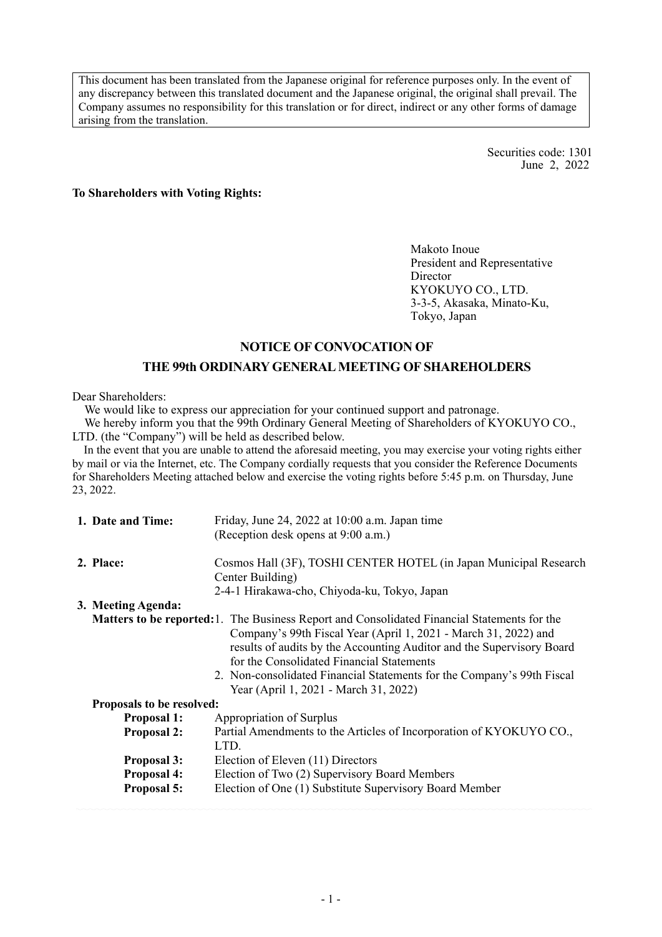This document has been translated from the Japanese original for reference purposes only. In the event of any discrepancy between this translated document and the Japanese original, the original shall prevail. The Company assumes no responsibility for this translation or for direct, indirect or any other forms of damage arising from the translation.

> Securities code: 1301 June 2, 2022

#### **To Shareholders with Voting Rights:**

Makoto Inoue President and Representative Director KYOKUYO CO., LTD. 3-3-5, Akasaka, Minato-Ku, Tokyo, Japan

## **NOTICE OF CONVOCATION OF**

#### **THE 99th ORDINARY GENERAL MEETING OF SHAREHOLDERS**

Dear Shareholders:

We would like to express our appreciation for your continued support and patronage.

We hereby inform you that the 99th Ordinary General Meeting of Shareholders of KYOKUYO CO., LTD. (the "Company") will be held as described below.

In the event that you are unable to attend the aforesaid meeting, you may exercise your voting rights either by mail or via the Internet, etc. The Company cordially requests that you consider the Reference Documents for Shareholders Meeting attached below and exercise the voting rights before 5:45 p.m. on Thursday, June 23, 2022.

| 1. Date and Time:         | Friday, June 24, 2022 at 10:00 a.m. Japan time                                                                                                                                                                                                                                                                                                                                                                  |
|---------------------------|-----------------------------------------------------------------------------------------------------------------------------------------------------------------------------------------------------------------------------------------------------------------------------------------------------------------------------------------------------------------------------------------------------------------|
|                           | (Reception desk opens at 9:00 a.m.)                                                                                                                                                                                                                                                                                                                                                                             |
| 2. Place:                 | Cosmos Hall (3F), TOSHI CENTER HOTEL (in Japan Municipal Research                                                                                                                                                                                                                                                                                                                                               |
|                           | Center Building)                                                                                                                                                                                                                                                                                                                                                                                                |
|                           | 2-4-1 Hirakawa-cho, Chiyoda-ku, Tokyo, Japan                                                                                                                                                                                                                                                                                                                                                                    |
| 3. Meeting Agenda:        |                                                                                                                                                                                                                                                                                                                                                                                                                 |
|                           | <b>Matters to be reported:</b> 1. The Business Report and Consolidated Financial Statements for the<br>Company's 99th Fiscal Year (April 1, 2021 - March 31, 2022) and<br>results of audits by the Accounting Auditor and the Supervisory Board<br>for the Consolidated Financial Statements<br>2. Non-consolidated Financial Statements for the Company's 99th Fiscal<br>Year (April 1, 2021 - March 31, 2022) |
| Proposals to be resolved: |                                                                                                                                                                                                                                                                                                                                                                                                                 |
| <b>Proposal 1:</b>        | Appropriation of Surplus                                                                                                                                                                                                                                                                                                                                                                                        |
| <b>Proposal 2:</b>        | Partial Amendments to the Articles of Incorporation of KYOKUYO CO.,<br>LTD.                                                                                                                                                                                                                                                                                                                                     |
| <b>Proposal 3:</b>        | Election of Eleven (11) Directors                                                                                                                                                                                                                                                                                                                                                                               |
| <b>Proposal 4:</b>        | Election of Two (2) Supervisory Board Members                                                                                                                                                                                                                                                                                                                                                                   |
| Proposal 5:               | Election of One (1) Substitute Supervisory Board Member                                                                                                                                                                                                                                                                                                                                                         |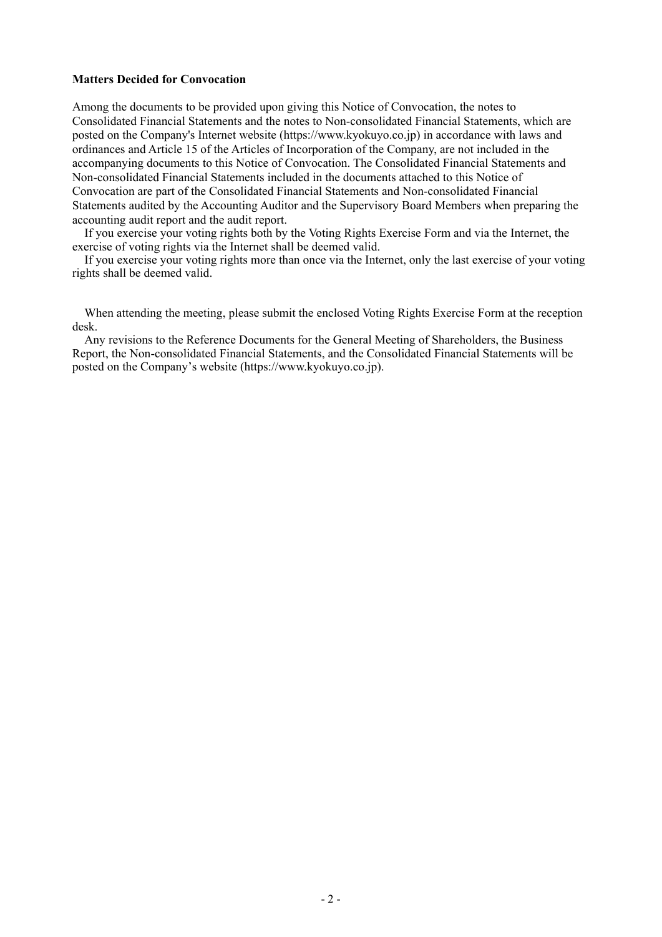#### **Matters Decided for Convocation**

Among the documents to be provided upon giving this Notice of Convocation, the notes to Consolidated Financial Statements and the notes to Non-consolidated Financial Statements, which are posted on the Company's Internet website (https://www.kyokuyo.co.jp) in accordance with laws and ordinances and Article 15 of the Articles of Incorporation of the Company, are not included in the accompanying documents to this Notice of Convocation. The Consolidated Financial Statements and Non-consolidated Financial Statements included in the documents attached to this Notice of Convocation are part of the Consolidated Financial Statements and Non-consolidated Financial Statements audited by the Accounting Auditor and the Supervisory Board Members when preparing the accounting audit report and the audit report.

If you exercise your voting rights both by the Voting Rights Exercise Form and via the Internet, the exercise of voting rights via the Internet shall be deemed valid.

If you exercise your voting rights more than once via the Internet, only the last exercise of your voting rights shall be deemed valid.

When attending the meeting, please submit the enclosed Voting Rights Exercise Form at the reception desk.

Any revisions to the Reference Documents for the General Meeting of Shareholders, the Business Report, the Non-consolidated Financial Statements, and the Consolidated Financial Statements will be posted on the Company's website (https://www.kyokuyo.co.jp).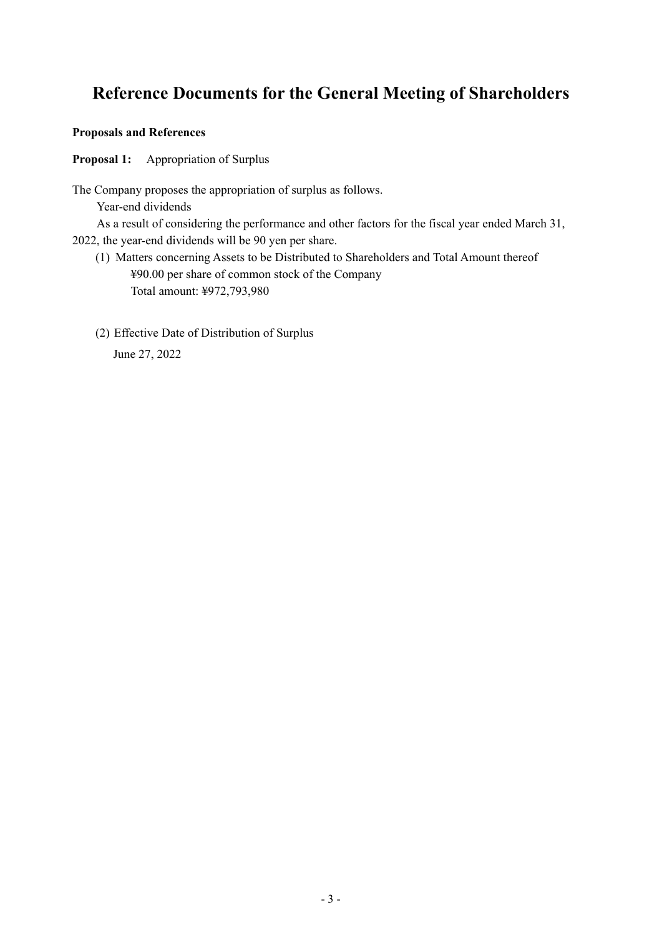# **Reference Documents for the General Meeting of Shareholders**

## **Proposals and References**

**Proposal 1:** Appropriation of Surplus

The Company proposes the appropriation of surplus as follows.

Year-end dividends

As a result of considering the performance and other factors for the fiscal year ended March 31, 2022, the year-end dividends will be 90 yen per share.

- (1) Matters concerning Assets to be Distributed to Shareholders and Total Amount thereof ¥90.00 per share of common stock of the Company Total amount: ¥972,793,980
- (2) Effective Date of Distribution of Surplus June 27, 2022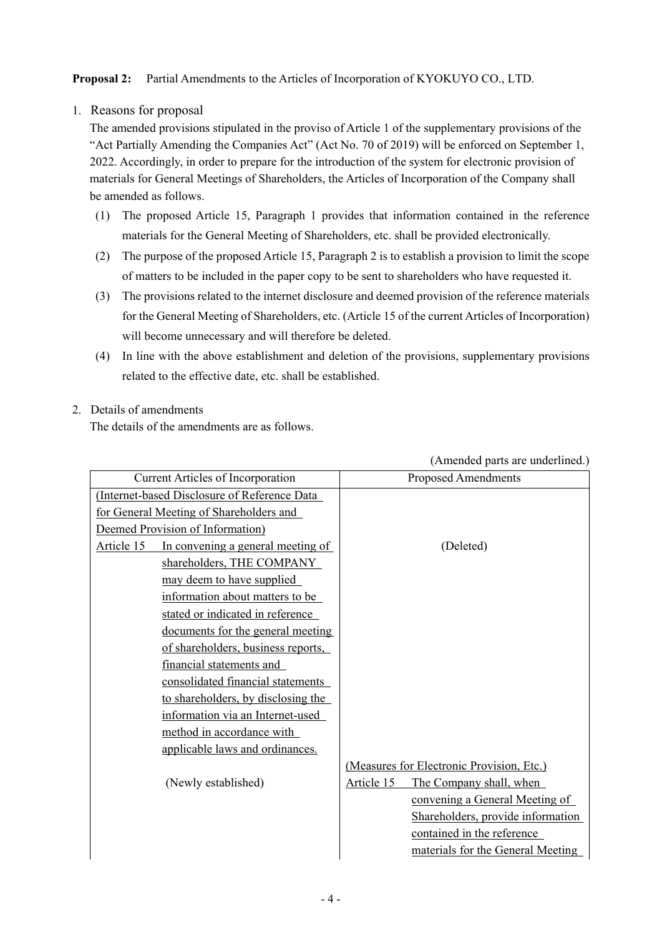# **Proposal 2:** Partial Amendments to the Articles of Incorporation of KYOKUYO CO., LTD.

1. Reasons for proposal

The amended provisions stipulated in the proviso of Article 1 of the supplementary provisions of the "Act Partially Amending the Companies Act" (Act No. 70 of 2019) will be enforced on September 1, 2022. Accordingly, in order to prepare for the introduction of the system for electronic provision of materials for General Meetings of Shareholders, the Articles of Incorporation of the Company shall be amended as follows.

- (1) The proposed Article 15, Paragraph 1 provides that information contained in the reference materials for the General Meeting of Shareholders, etc. shall be provided electronically.
- (2) The purpose of the proposed Article 15, Paragraph 2 is to establish a provision to limit the scope of matters to be included in the paper copy to be sent to shareholders who have requested it.
- (3) The provisions related to the internet disclosure and deemed provision of the reference materials for the General Meeting of Shareholders, etc. (Article 15 of the current Articles of Incorporation) will become unnecessary and will therefore be deleted.
- (4) In line with the above establishment and deletion of the provisions, supplementary provisions related to the effective date, etc. shall be established.
- 2. Details of amendments The details of the amendments are as follows.

|                                                 | (Amended parts are underlined.)           |
|-------------------------------------------------|-------------------------------------------|
| <b>Current Articles of Incorporation</b>        | <b>Proposed Amendments</b>                |
| (Internet-based Disclosure of Reference Data    |                                           |
| for General Meeting of Shareholders and         |                                           |
| Deemed Provision of Information)                |                                           |
| Article 15<br>In convening a general meeting of | (Deleted)                                 |
| shareholders, THE COMPANY                       |                                           |
| may deem to have supplied                       |                                           |
| information about matters to be                 |                                           |
| stated or indicated in reference                |                                           |
| documents for the general meeting               |                                           |
| of shareholders, business reports,              |                                           |
| financial statements and                        |                                           |
| consolidated financial statements               |                                           |
| to shareholders, by disclosing the              |                                           |
| information via an Internet-used                |                                           |
| method in accordance with                       |                                           |
| applicable laws and ordinances.                 |                                           |
|                                                 | (Measures for Electronic Provision, Etc.) |
| (Newly established)                             | Article 15<br>The Company shall, when     |
|                                                 | convening a General Meeting of            |
|                                                 | Shareholders, provide information         |
|                                                 | contained in the reference                |
|                                                 | materials for the General Meeting         |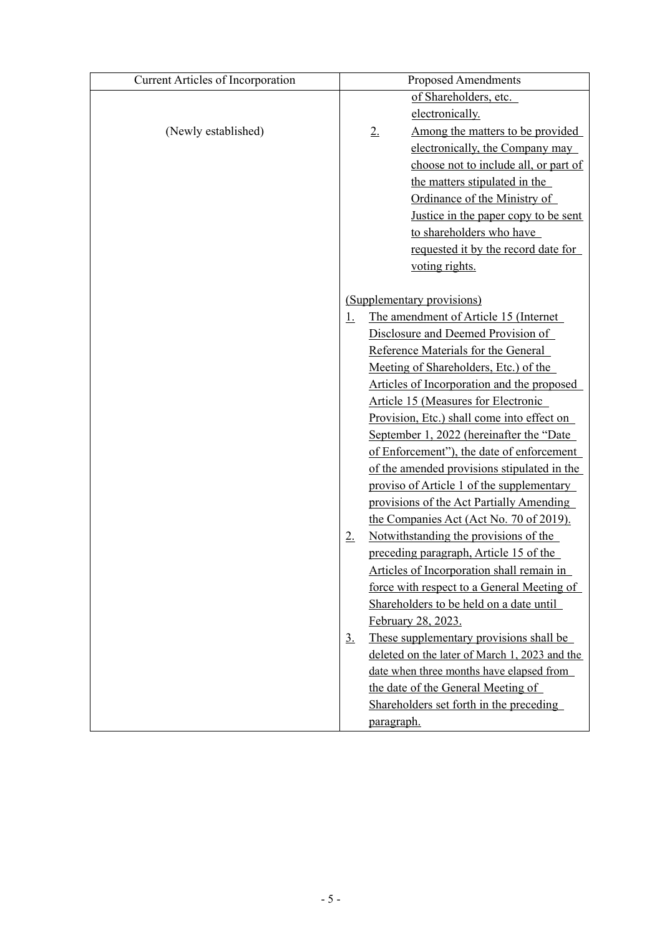| <b>Current Articles of Incorporation</b> |                   | <b>Proposed Amendments</b>                    |
|------------------------------------------|-------------------|-----------------------------------------------|
|                                          |                   | of Shareholders, etc.                         |
|                                          |                   | electronically.                               |
| (Newly established)                      |                   | Among the matters to be provided<br>2.        |
|                                          |                   | electronically, the Company may               |
|                                          |                   | choose not to include all, or part of         |
|                                          |                   | the matters stipulated in the                 |
|                                          |                   | Ordinance of the Ministry of                  |
|                                          |                   | Justice in the paper copy to be sent          |
|                                          |                   | to shareholders who have                      |
|                                          |                   | requested it by the record date for           |
|                                          |                   | voting rights.                                |
|                                          |                   |                                               |
|                                          |                   | (Supplementary provisions)                    |
|                                          | <u>1.</u>         | The amendment of Article 15 (Internet         |
|                                          |                   | Disclosure and Deemed Provision of            |
|                                          |                   | Reference Materials for the General           |
|                                          |                   | Meeting of Shareholders, Etc.) of the         |
|                                          |                   | Articles of Incorporation and the proposed    |
|                                          |                   | Article 15 (Measures for Electronic           |
|                                          |                   | Provision, Etc.) shall come into effect on    |
|                                          |                   | September 1, 2022 (hereinafter the "Date      |
|                                          |                   | of Enforcement"), the date of enforcement     |
|                                          |                   | of the amended provisions stipulated in the   |
|                                          |                   | proviso of Article 1 of the supplementary     |
|                                          |                   | provisions of the Act Partially Amending      |
|                                          |                   | the Companies Act (Act No. 70 of 2019).       |
|                                          | 2.                | Notwithstanding the provisions of the         |
|                                          |                   | preceding paragraph, Article 15 of the        |
|                                          |                   | Articles of Incorporation shall remain in     |
|                                          |                   | force with respect to a General Meeting of    |
|                                          |                   | Shareholders to be held on a date until       |
|                                          |                   | February 28, 2023.                            |
|                                          | $\underline{3}$ . | These supplementary provisions shall be       |
|                                          |                   | deleted on the later of March 1, 2023 and the |
|                                          |                   | date when three months have elapsed from      |
|                                          |                   | the date of the General Meeting of            |
|                                          |                   | Shareholders set forth in the preceding       |
|                                          |                   | <u>paragraph.</u>                             |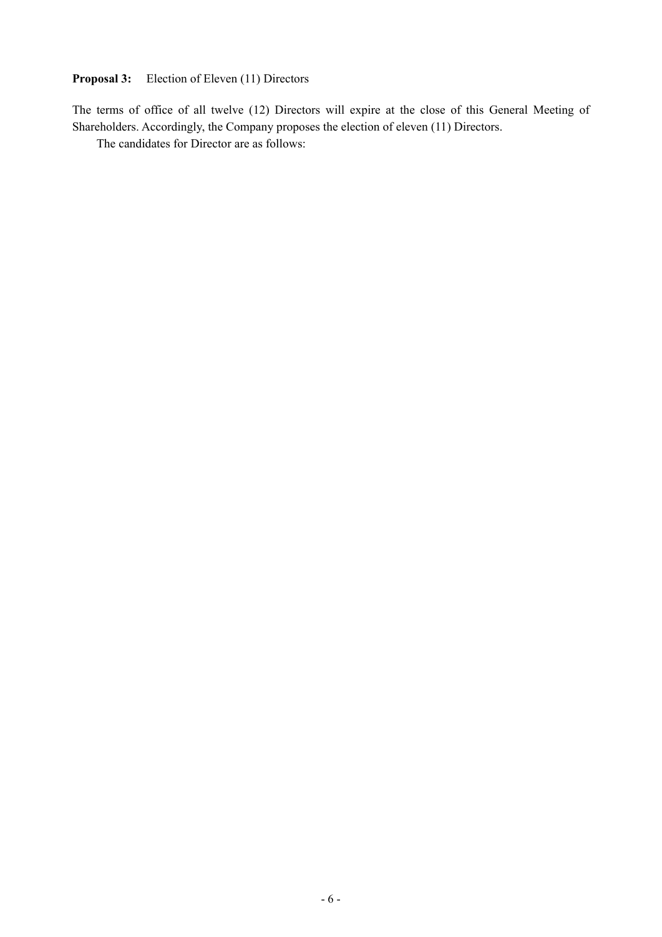## **Proposal 3:** Election of Eleven (11) Directors

The terms of office of all twelve (12) Directors will expire at the close of this General Meeting of Shareholders. Accordingly, the Company proposes the election of eleven (11) Directors.

The candidates for Director are as follows: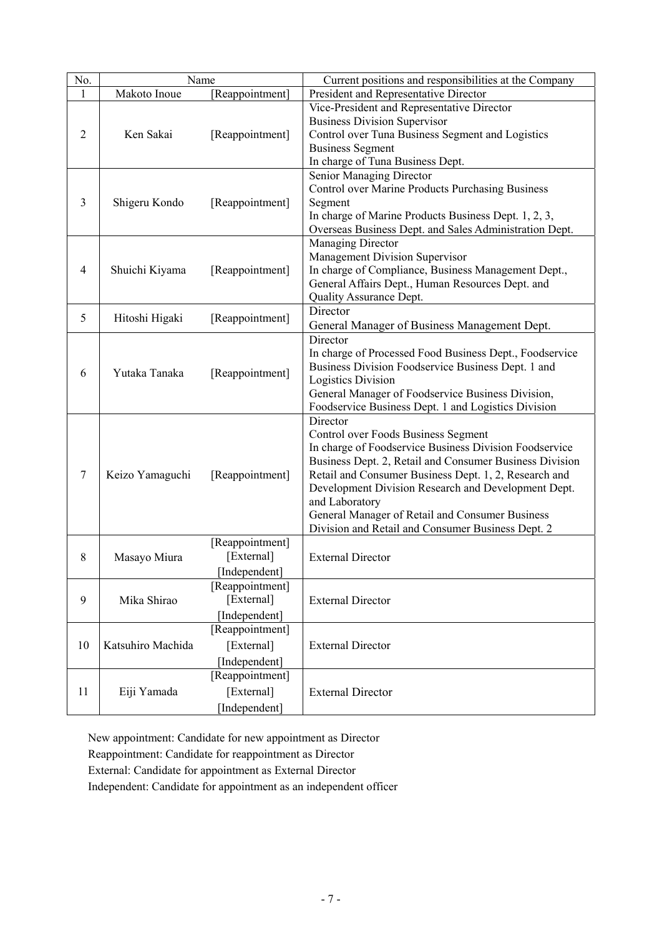| No.    | Name                            |                 | Current positions and responsibilities at the Company                                                            |
|--------|---------------------------------|-----------------|------------------------------------------------------------------------------------------------------------------|
| 1      | Makoto Inoue<br>[Reappointment] |                 | President and Representative Director                                                                            |
|        |                                 |                 | Vice-President and Representative Director                                                                       |
|        | Ken Sakai                       |                 | <b>Business Division Supervisor</b>                                                                              |
| 2      |                                 | [Reappointment] | Control over Tuna Business Segment and Logistics                                                                 |
|        |                                 |                 | <b>Business Segment</b>                                                                                          |
|        |                                 |                 | In charge of Tuna Business Dept.                                                                                 |
|        |                                 |                 | Senior Managing Director                                                                                         |
|        |                                 |                 | Control over Marine Products Purchasing Business                                                                 |
| 3      | Shigeru Kondo                   | [Reappointment] | Segment                                                                                                          |
|        |                                 |                 | In charge of Marine Products Business Dept. 1, 2, 3,                                                             |
|        |                                 |                 | Overseas Business Dept. and Sales Administration Dept.                                                           |
|        |                                 |                 | Managing Director<br>Management Division Supervisor                                                              |
| 4      | Shuichi Kiyama                  | [Reappointment] | In charge of Compliance, Business Management Dept.,                                                              |
|        |                                 |                 | General Affairs Dept., Human Resources Dept. and                                                                 |
|        |                                 |                 | Quality Assurance Dept.                                                                                          |
|        |                                 |                 | Director                                                                                                         |
| 5      | Hitoshi Higaki                  | [Reappointment] | General Manager of Business Management Dept.                                                                     |
|        |                                 |                 | Director                                                                                                         |
|        |                                 |                 | In charge of Processed Food Business Dept., Foodservice                                                          |
| 6      | Yutaka Tanaka                   | [Reappointment] | Business Division Foodservice Business Dept. 1 and                                                               |
|        |                                 |                 | <b>Logistics Division</b>                                                                                        |
|        |                                 |                 | General Manager of Foodservice Business Division,                                                                |
|        |                                 |                 | Foodservice Business Dept. 1 and Logistics Division                                                              |
|        |                                 |                 | Director                                                                                                         |
|        |                                 | [Reappointment] | Control over Foods Business Segment                                                                              |
|        |                                 |                 | In charge of Foodservice Business Division Foodservice                                                           |
| $\tau$ | Keizo Yamaguchi                 |                 | Business Dept. 2, Retail and Consumer Business Division<br>Retail and Consumer Business Dept. 1, 2, Research and |
|        |                                 |                 | Development Division Research and Development Dept.                                                              |
|        |                                 |                 | and Laboratory                                                                                                   |
|        |                                 |                 | General Manager of Retail and Consumer Business                                                                  |
|        |                                 |                 | Division and Retail and Consumer Business Dept. 2                                                                |
|        |                                 | [Reappointment] |                                                                                                                  |
| 8      | Masayo Miura                    | [External]      | <b>External Director</b>                                                                                         |
|        |                                 | [Independent]   |                                                                                                                  |
|        |                                 | [Reappointment] |                                                                                                                  |
| 9      | Mika Shirao                     | [External]      | <b>External Director</b>                                                                                         |
|        |                                 | [Independent]   |                                                                                                                  |
|        |                                 | [Reappointment] |                                                                                                                  |
| 10     | Katsuhiro Machida               | [External]      | <b>External Director</b>                                                                                         |
|        |                                 | [Independent]   |                                                                                                                  |
|        |                                 | [Reappointment] |                                                                                                                  |
| 11     | Eiji Yamada                     | [External]      | <b>External Director</b>                                                                                         |
|        |                                 | [Independent]   |                                                                                                                  |

New appointment: Candidate for new appointment as Director Reappointment: Candidate for reappointment as Director External: Candidate for appointment as External Director Independent: Candidate for appointment as an independent officer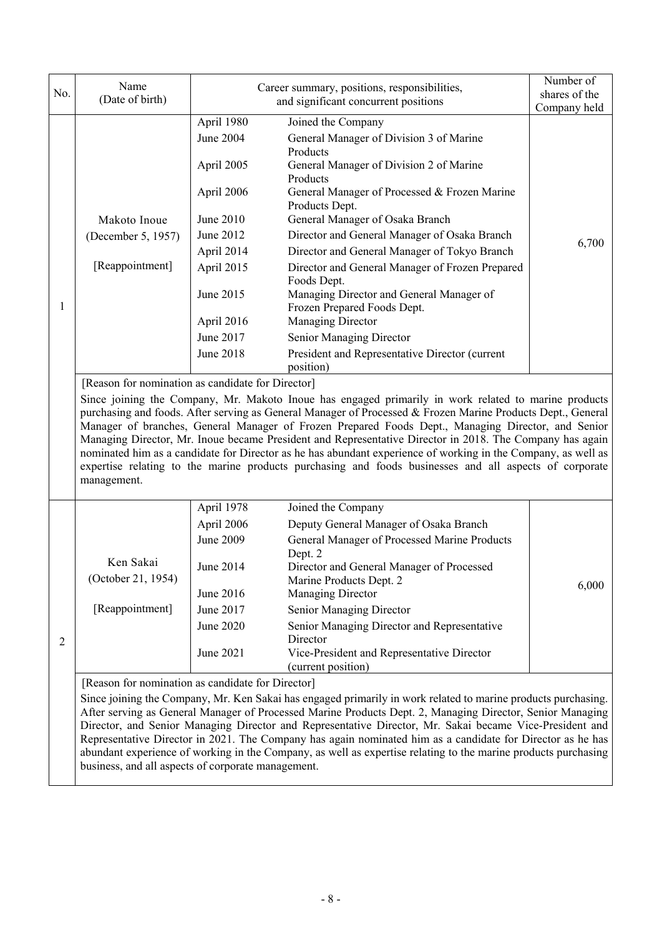|                | Name                                                                                                                                                                                                                                                                                                                                                                                                                                                                                                                                                                                                                        |            | Career summary, positions, responsibilities,                                                                                                                                                                                                                                                                                                                                                                                                                                                                                                                                                                                                                     | Number of     |  |
|----------------|-----------------------------------------------------------------------------------------------------------------------------------------------------------------------------------------------------------------------------------------------------------------------------------------------------------------------------------------------------------------------------------------------------------------------------------------------------------------------------------------------------------------------------------------------------------------------------------------------------------------------------|------------|------------------------------------------------------------------------------------------------------------------------------------------------------------------------------------------------------------------------------------------------------------------------------------------------------------------------------------------------------------------------------------------------------------------------------------------------------------------------------------------------------------------------------------------------------------------------------------------------------------------------------------------------------------------|---------------|--|
| No.            | (Date of birth)                                                                                                                                                                                                                                                                                                                                                                                                                                                                                                                                                                                                             |            | and significant concurrent positions                                                                                                                                                                                                                                                                                                                                                                                                                                                                                                                                                                                                                             | shares of the |  |
|                |                                                                                                                                                                                                                                                                                                                                                                                                                                                                                                                                                                                                                             | April 1980 | Joined the Company                                                                                                                                                                                                                                                                                                                                                                                                                                                                                                                                                                                                                                               | Company held  |  |
|                |                                                                                                                                                                                                                                                                                                                                                                                                                                                                                                                                                                                                                             | June 2004  | General Manager of Division 3 of Marine<br>Products                                                                                                                                                                                                                                                                                                                                                                                                                                                                                                                                                                                                              |               |  |
|                |                                                                                                                                                                                                                                                                                                                                                                                                                                                                                                                                                                                                                             | April 2005 | General Manager of Division 2 of Marine<br>Products                                                                                                                                                                                                                                                                                                                                                                                                                                                                                                                                                                                                              |               |  |
|                |                                                                                                                                                                                                                                                                                                                                                                                                                                                                                                                                                                                                                             | April 2006 | General Manager of Processed & Frozen Marine<br>Products Dept.                                                                                                                                                                                                                                                                                                                                                                                                                                                                                                                                                                                                   |               |  |
|                | Makoto Inoue                                                                                                                                                                                                                                                                                                                                                                                                                                                                                                                                                                                                                | June 2010  | General Manager of Osaka Branch                                                                                                                                                                                                                                                                                                                                                                                                                                                                                                                                                                                                                                  |               |  |
|                | (December 5, 1957)                                                                                                                                                                                                                                                                                                                                                                                                                                                                                                                                                                                                          | June 2012  | Director and General Manager of Osaka Branch                                                                                                                                                                                                                                                                                                                                                                                                                                                                                                                                                                                                                     | 6,700         |  |
|                |                                                                                                                                                                                                                                                                                                                                                                                                                                                                                                                                                                                                                             | April 2014 | Director and General Manager of Tokyo Branch                                                                                                                                                                                                                                                                                                                                                                                                                                                                                                                                                                                                                     |               |  |
|                | [Reappointment]                                                                                                                                                                                                                                                                                                                                                                                                                                                                                                                                                                                                             | April 2015 | Director and General Manager of Frozen Prepared<br>Foods Dept.                                                                                                                                                                                                                                                                                                                                                                                                                                                                                                                                                                                                   |               |  |
| 1              |                                                                                                                                                                                                                                                                                                                                                                                                                                                                                                                                                                                                                             | June 2015  | Managing Director and General Manager of<br>Frozen Prepared Foods Dept.                                                                                                                                                                                                                                                                                                                                                                                                                                                                                                                                                                                          |               |  |
|                |                                                                                                                                                                                                                                                                                                                                                                                                                                                                                                                                                                                                                             | April 2016 | Managing Director                                                                                                                                                                                                                                                                                                                                                                                                                                                                                                                                                                                                                                                |               |  |
|                |                                                                                                                                                                                                                                                                                                                                                                                                                                                                                                                                                                                                                             | June 2017  | Senior Managing Director                                                                                                                                                                                                                                                                                                                                                                                                                                                                                                                                                                                                                                         |               |  |
|                |                                                                                                                                                                                                                                                                                                                                                                                                                                                                                                                                                                                                                             | June 2018  | President and Representative Director (current<br>position)                                                                                                                                                                                                                                                                                                                                                                                                                                                                                                                                                                                                      |               |  |
|                | [Reason for nomination as candidate for Director]                                                                                                                                                                                                                                                                                                                                                                                                                                                                                                                                                                           |            |                                                                                                                                                                                                                                                                                                                                                                                                                                                                                                                                                                                                                                                                  |               |  |
|                | management.                                                                                                                                                                                                                                                                                                                                                                                                                                                                                                                                                                                                                 |            | Since joining the Company, Mr. Makoto Inoue has engaged primarily in work related to marine products<br>purchasing and foods. After serving as General Manager of Processed & Frozen Marine Products Dept., General<br>Manager of branches, General Manager of Frozen Prepared Foods Dept., Managing Director, and Senior<br>Managing Director, Mr. Inoue became President and Representative Director in 2018. The Company has again<br>nominated him as a candidate for Director as he has abundant experience of working in the Company, as well as<br>expertise relating to the marine products purchasing and foods businesses and all aspects of corporate |               |  |
|                |                                                                                                                                                                                                                                                                                                                                                                                                                                                                                                                                                                                                                             | April 1978 | Joined the Company                                                                                                                                                                                                                                                                                                                                                                                                                                                                                                                                                                                                                                               |               |  |
|                |                                                                                                                                                                                                                                                                                                                                                                                                                                                                                                                                                                                                                             | April 2006 | Deputy General Manager of Osaka Branch                                                                                                                                                                                                                                                                                                                                                                                                                                                                                                                                                                                                                           |               |  |
|                |                                                                                                                                                                                                                                                                                                                                                                                                                                                                                                                                                                                                                             | June 2009  | General Manager of Processed Marine Products                                                                                                                                                                                                                                                                                                                                                                                                                                                                                                                                                                                                                     |               |  |
|                | Ken Sakai                                                                                                                                                                                                                                                                                                                                                                                                                                                                                                                                                                                                                   | June 2014  | Dept. 2<br>Director and General Manager of Processed                                                                                                                                                                                                                                                                                                                                                                                                                                                                                                                                                                                                             |               |  |
|                | (October 21, 1954)                                                                                                                                                                                                                                                                                                                                                                                                                                                                                                                                                                                                          |            | Marine Products Dept. 2                                                                                                                                                                                                                                                                                                                                                                                                                                                                                                                                                                                                                                          | 6,000         |  |
|                |                                                                                                                                                                                                                                                                                                                                                                                                                                                                                                                                                                                                                             | June 2016  | Managing Director                                                                                                                                                                                                                                                                                                                                                                                                                                                                                                                                                                                                                                                |               |  |
|                | [Reappointment]                                                                                                                                                                                                                                                                                                                                                                                                                                                                                                                                                                                                             | June 2017  | Senior Managing Director                                                                                                                                                                                                                                                                                                                                                                                                                                                                                                                                                                                                                                         |               |  |
| $\overline{2}$ |                                                                                                                                                                                                                                                                                                                                                                                                                                                                                                                                                                                                                             | June 2020  | Senior Managing Director and Representative<br>Director                                                                                                                                                                                                                                                                                                                                                                                                                                                                                                                                                                                                          |               |  |
|                |                                                                                                                                                                                                                                                                                                                                                                                                                                                                                                                                                                                                                             | June 2021  | Vice-President and Representative Director<br>(current position)                                                                                                                                                                                                                                                                                                                                                                                                                                                                                                                                                                                                 |               |  |
|                | [Reason for nomination as candidate for Director]                                                                                                                                                                                                                                                                                                                                                                                                                                                                                                                                                                           |            |                                                                                                                                                                                                                                                                                                                                                                                                                                                                                                                                                                                                                                                                  |               |  |
|                | Since joining the Company, Mr. Ken Sakai has engaged primarily in work related to marine products purchasing.<br>After serving as General Manager of Processed Marine Products Dept. 2, Managing Director, Senior Managing<br>Director, and Senior Managing Director and Representative Director, Mr. Sakai became Vice-President and<br>Representative Director in 2021. The Company has again nominated him as a candidate for Director as he has<br>abundant experience of working in the Company, as well as expertise relating to the marine products purchasing<br>business, and all aspects of corporate management. |            |                                                                                                                                                                                                                                                                                                                                                                                                                                                                                                                                                                                                                                                                  |               |  |
|                |                                                                                                                                                                                                                                                                                                                                                                                                                                                                                                                                                                                                                             |            |                                                                                                                                                                                                                                                                                                                                                                                                                                                                                                                                                                                                                                                                  |               |  |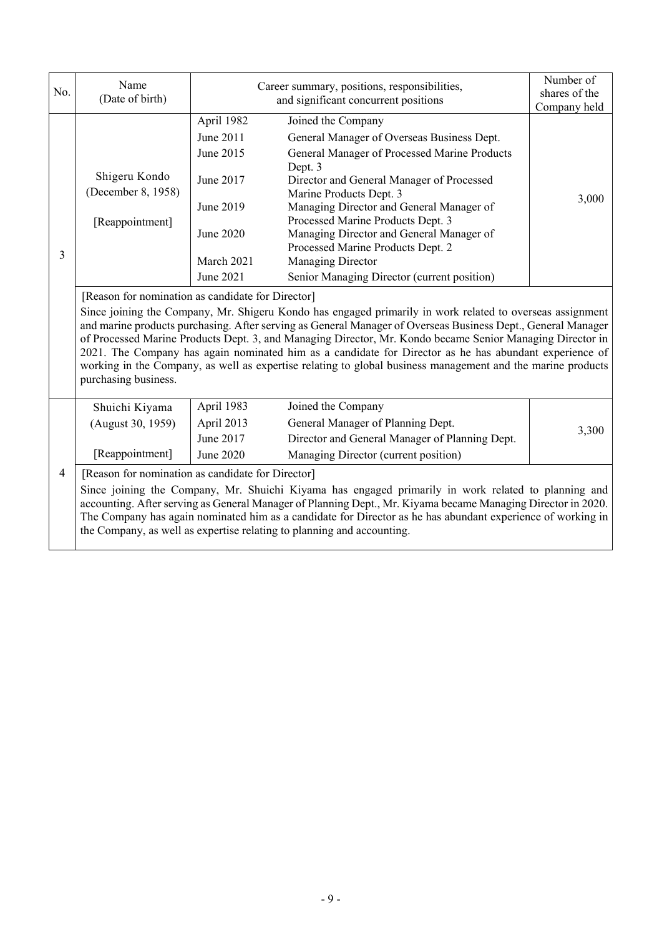| No.            | Name<br>(Date of birth)                                                                                                                                                                                                                                                                                                                                                                                                                                                                                                                                                                 |            | Career summary, positions, responsibilities,<br>and significant concurrent positions | Number of<br>shares of the<br>Company held |  |  |
|----------------|-----------------------------------------------------------------------------------------------------------------------------------------------------------------------------------------------------------------------------------------------------------------------------------------------------------------------------------------------------------------------------------------------------------------------------------------------------------------------------------------------------------------------------------------------------------------------------------------|------------|--------------------------------------------------------------------------------------|--------------------------------------------|--|--|
|                |                                                                                                                                                                                                                                                                                                                                                                                                                                                                                                                                                                                         | April 1982 | Joined the Company                                                                   |                                            |  |  |
|                |                                                                                                                                                                                                                                                                                                                                                                                                                                                                                                                                                                                         | June 2011  | General Manager of Overseas Business Dept.                                           |                                            |  |  |
|                |                                                                                                                                                                                                                                                                                                                                                                                                                                                                                                                                                                                         | June 2015  | General Manager of Processed Marine Products<br>Dept. 3                              |                                            |  |  |
|                | Shigeru Kondo<br>(December 8, 1958)                                                                                                                                                                                                                                                                                                                                                                                                                                                                                                                                                     | June 2017  | Director and General Manager of Processed                                            |                                            |  |  |
|                |                                                                                                                                                                                                                                                                                                                                                                                                                                                                                                                                                                                         | June 2019  | Marine Products Dept. 3<br>Managing Director and General Manager of                  | 3,000                                      |  |  |
|                | [Reappointment]                                                                                                                                                                                                                                                                                                                                                                                                                                                                                                                                                                         |            | Processed Marine Products Dept. 3                                                    |                                            |  |  |
|                |                                                                                                                                                                                                                                                                                                                                                                                                                                                                                                                                                                                         | June 2020  | Managing Director and General Manager of                                             |                                            |  |  |
| 3              |                                                                                                                                                                                                                                                                                                                                                                                                                                                                                                                                                                                         |            | Processed Marine Products Dept. 2                                                    |                                            |  |  |
|                |                                                                                                                                                                                                                                                                                                                                                                                                                                                                                                                                                                                         | March 2021 | Managing Director                                                                    |                                            |  |  |
|                |                                                                                                                                                                                                                                                                                                                                                                                                                                                                                                                                                                                         | June 2021  | Senior Managing Director (current position)                                          |                                            |  |  |
|                | [Reason for nomination as candidate for Director]                                                                                                                                                                                                                                                                                                                                                                                                                                                                                                                                       |            |                                                                                      |                                            |  |  |
|                | Since joining the Company, Mr. Shigeru Kondo has engaged primarily in work related to overseas assignment<br>and marine products purchasing. After serving as General Manager of Overseas Business Dept., General Manager<br>of Processed Marine Products Dept. 3, and Managing Director, Mr. Kondo became Senior Managing Director in<br>2021. The Company has again nominated him as a candidate for Director as he has abundant experience of<br>working in the Company, as well as expertise relating to global business management and the marine products<br>purchasing business. |            |                                                                                      |                                            |  |  |
|                | Shuichi Kiyama                                                                                                                                                                                                                                                                                                                                                                                                                                                                                                                                                                          | April 1983 | Joined the Company                                                                   |                                            |  |  |
|                | (August 30, 1959)                                                                                                                                                                                                                                                                                                                                                                                                                                                                                                                                                                       | April 2013 | General Manager of Planning Dept.                                                    | 3,300                                      |  |  |
|                |                                                                                                                                                                                                                                                                                                                                                                                                                                                                                                                                                                                         | June 2017  | Director and General Manager of Planning Dept.                                       |                                            |  |  |
|                | [Reappointment]                                                                                                                                                                                                                                                                                                                                                                                                                                                                                                                                                                         | June 2020  | Managing Director (current position)                                                 |                                            |  |  |
| $\overline{4}$ | [Reason for nomination as candidate for Director]                                                                                                                                                                                                                                                                                                                                                                                                                                                                                                                                       |            |                                                                                      |                                            |  |  |
|                | Since joining the Company, Mr. Shuichi Kiyama has engaged primarily in work related to planning and<br>accounting. After serving as General Manager of Planning Dept., Mr. Kiyama became Managing Director in 2020.<br>The Company has again nominated him as a candidate for Director as he has abundant experience of working in<br>the Company, as well as expertise relating to planning and accounting.                                                                                                                                                                            |            |                                                                                      |                                            |  |  |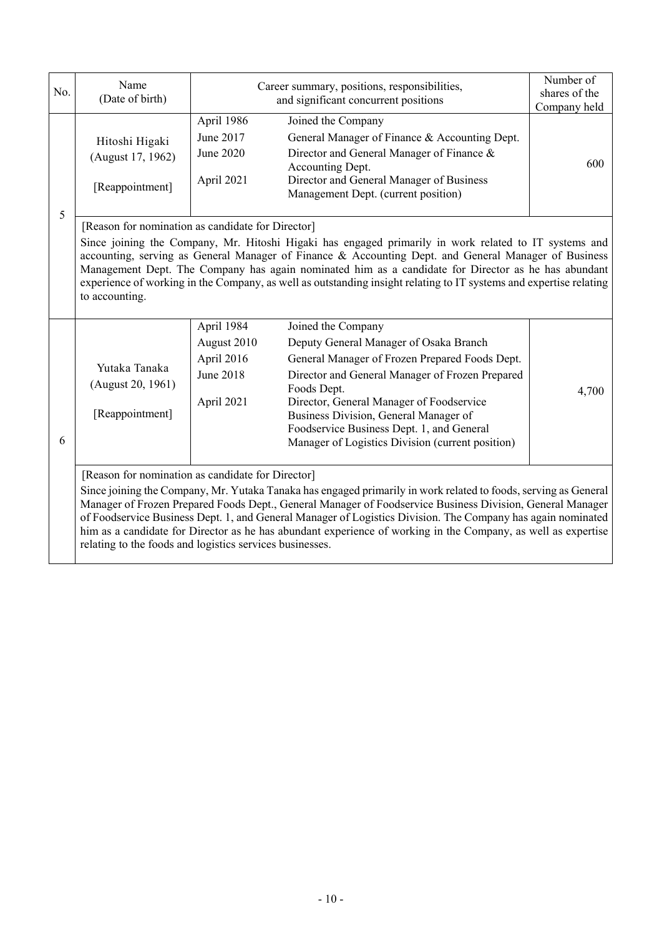| No. | Name<br>(Date of birth)                                                                                                                                                                                                                                                                                                                                                                                                                                                                                                                                                       |                                                                           | Career summary, positions, responsibilities,<br>and significant concurrent positions                                                                                                                                                                                                                                                                                                                                                       | Number of<br>shares of the<br>Company held |  |
|-----|-------------------------------------------------------------------------------------------------------------------------------------------------------------------------------------------------------------------------------------------------------------------------------------------------------------------------------------------------------------------------------------------------------------------------------------------------------------------------------------------------------------------------------------------------------------------------------|---------------------------------------------------------------------------|--------------------------------------------------------------------------------------------------------------------------------------------------------------------------------------------------------------------------------------------------------------------------------------------------------------------------------------------------------------------------------------------------------------------------------------------|--------------------------------------------|--|
| 5   | Hitoshi Higaki<br>(August 17, 1962)<br>[Reappointment]                                                                                                                                                                                                                                                                                                                                                                                                                                                                                                                        | April 1986<br>June 2017<br>June 2020<br>April 2021                        | Joined the Company<br>General Manager of Finance & Accounting Dept.<br>Director and General Manager of Finance &<br>Accounting Dept.<br>Director and General Manager of Business<br>Management Dept. (current position)                                                                                                                                                                                                                    | 600                                        |  |
|     | [Reason for nomination as candidate for Director]<br>to accounting.                                                                                                                                                                                                                                                                                                                                                                                                                                                                                                           |                                                                           | Since joining the Company, Mr. Hitoshi Higaki has engaged primarily in work related to IT systems and<br>accounting, serving as General Manager of Finance & Accounting Dept. and General Manager of Business<br>Management Dept. The Company has again nominated him as a candidate for Director as he has abundant<br>experience of working in the Company, as well as outstanding insight relating to IT systems and expertise relating |                                            |  |
| 6   | Yutaka Tanaka<br>(August 20, 1961)<br>[Reappointment]                                                                                                                                                                                                                                                                                                                                                                                                                                                                                                                         | April 1984<br>August 2010<br>April 2016<br><b>June 2018</b><br>April 2021 | Joined the Company<br>Deputy General Manager of Osaka Branch<br>General Manager of Frozen Prepared Foods Dept.<br>Director and General Manager of Frozen Prepared<br>Foods Dept.<br>Director, General Manager of Foodservice<br>Business Division, General Manager of<br>Foodservice Business Dept. 1, and General<br>Manager of Logistics Division (current position)                                                                     | 4,700                                      |  |
|     | [Reason for nomination as candidate for Director]<br>Since joining the Company, Mr. Yutaka Tanaka has engaged primarily in work related to foods, serving as General<br>Manager of Frozen Prepared Foods Dept., General Manager of Foodservice Business Division, General Manager<br>of Foodservice Business Dept. 1, and General Manager of Logistics Division. The Company has again nominated<br>him as a candidate for Director as he has abundant experience of working in the Company, as well as expertise<br>relating to the foods and logistics services businesses. |                                                                           |                                                                                                                                                                                                                                                                                                                                                                                                                                            |                                            |  |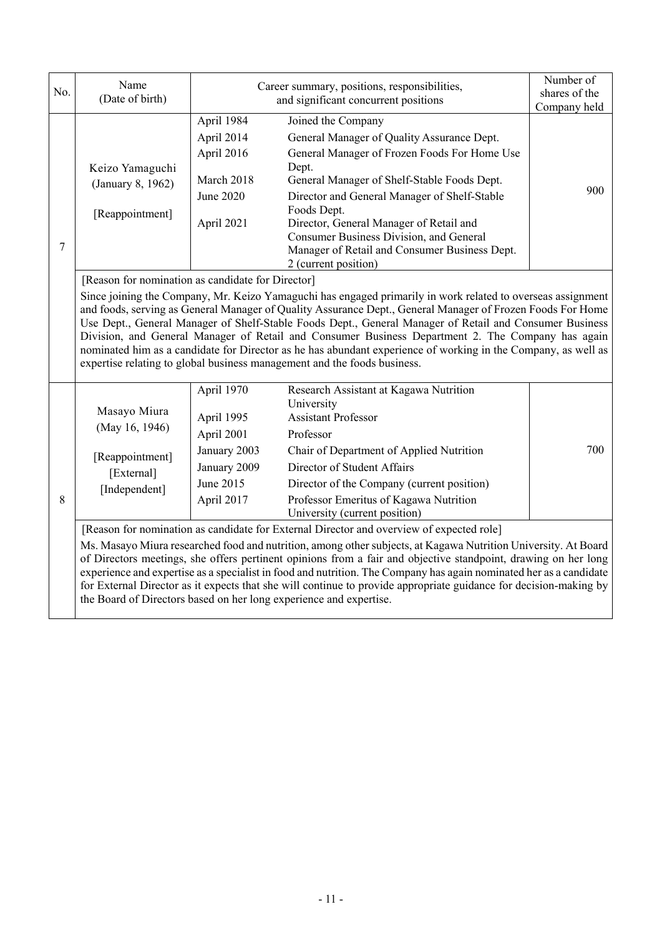| No.    | Name<br>(Date of birth)                                                                                                                                                                                                                                                                                                                                                                                                                                                                                                                                                                                                                                                                     |                                                                                                   | Career summary, positions, responsibilities,<br>and significant concurrent positions                                                                                                                                                                                                                                                                                                                   |                     |  |  |  |
|--------|---------------------------------------------------------------------------------------------------------------------------------------------------------------------------------------------------------------------------------------------------------------------------------------------------------------------------------------------------------------------------------------------------------------------------------------------------------------------------------------------------------------------------------------------------------------------------------------------------------------------------------------------------------------------------------------------|---------------------------------------------------------------------------------------------------|--------------------------------------------------------------------------------------------------------------------------------------------------------------------------------------------------------------------------------------------------------------------------------------------------------------------------------------------------------------------------------------------------------|---------------------|--|--|--|
| $\tau$ | Keizo Yamaguchi<br>(January 8, 1962)<br>[Reappointment]                                                                                                                                                                                                                                                                                                                                                                                                                                                                                                                                                                                                                                     | April 1984<br>April 2014<br>April 2016<br>March 2018<br>June 2020<br>April 2021                   | Joined the Company<br>General Manager of Quality Assurance Dept.<br>General Manager of Frozen Foods For Home Use<br>Dept.<br>General Manager of Shelf-Stable Foods Dept.<br>Director and General Manager of Shelf-Stable<br>Foods Dept.<br>Director, General Manager of Retail and<br>Consumer Business Division, and General<br>Manager of Retail and Consumer Business Dept.<br>2 (current position) | Company held<br>900 |  |  |  |
|        | [Reason for nomination as candidate for Director]<br>Since joining the Company, Mr. Keizo Yamaguchi has engaged primarily in work related to overseas assignment<br>and foods, serving as General Manager of Quality Assurance Dept., General Manager of Frozen Foods For Home<br>Use Dept., General Manager of Shelf-Stable Foods Dept., General Manager of Retail and Consumer Business<br>Division, and General Manager of Retail and Consumer Business Department 2. The Company has again<br>nominated him as a candidate for Director as he has abundant experience of working in the Company, as well as<br>expertise relating to global business management and the foods business. |                                                                                                   |                                                                                                                                                                                                                                                                                                                                                                                                        |                     |  |  |  |
| 8      | Masayo Miura<br>(May 16, 1946)<br>[Reappointment]<br>[External]<br>[Independent]                                                                                                                                                                                                                                                                                                                                                                                                                                                                                                                                                                                                            | April 1970<br>April 1995<br>April 2001<br>January 2003<br>January 2009<br>June 2015<br>April 2017 | Research Assistant at Kagawa Nutrition<br>University<br><b>Assistant Professor</b><br>Professor<br>Chair of Department of Applied Nutrition<br>Director of Student Affairs<br>Director of the Company (current position)<br>Professor Emeritus of Kagawa Nutrition<br>University (current position)                                                                                                    | 700                 |  |  |  |
|        | [Reason for nomination as candidate for External Director and overview of expected role]<br>Ms. Masayo Miura researched food and nutrition, among other subjects, at Kagawa Nutrition University. At Board<br>of Directors meetings, she offers pertinent opinions from a fair and objective standpoint, drawing on her long<br>experience and expertise as a specialist in food and nutrition. The Company has again nominated her as a candidate<br>for External Director as it expects that she will continue to provide appropriate guidance for decision-making by<br>the Board of Directors based on her long experience and expertise.                                               |                                                                                                   |                                                                                                                                                                                                                                                                                                                                                                                                        |                     |  |  |  |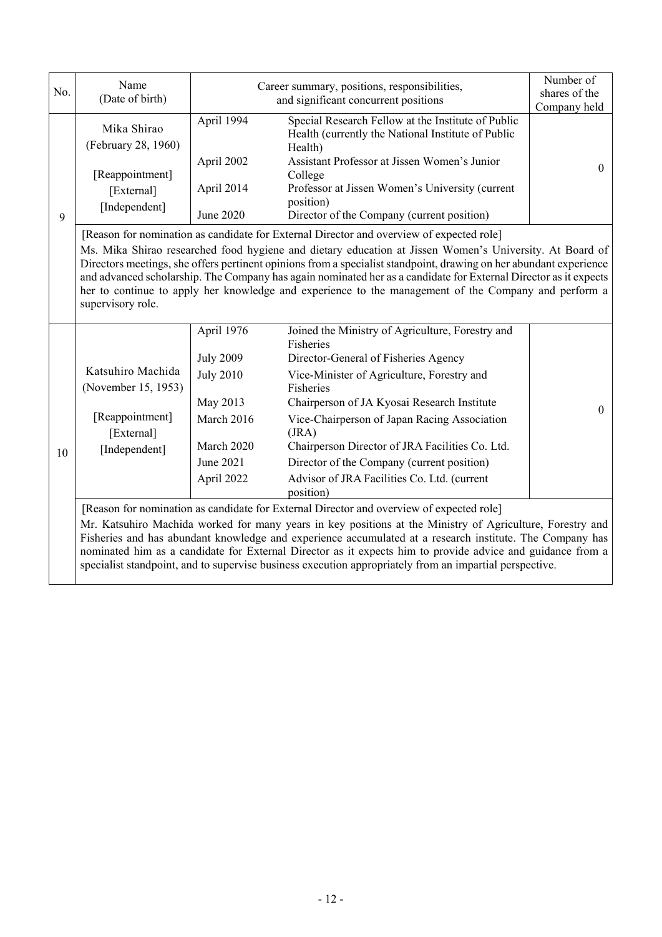| No. | Name<br>(Date of birth)                                                                                                                                                                                                                                                                                                                                                                                                                        |                  | Career summary, positions, responsibilities,<br>and significant concurrent positions                                                                                                                                                                                                                                                                                                                                                                      | Number of<br>shares of the<br>Company held |  |  |
|-----|------------------------------------------------------------------------------------------------------------------------------------------------------------------------------------------------------------------------------------------------------------------------------------------------------------------------------------------------------------------------------------------------------------------------------------------------|------------------|-----------------------------------------------------------------------------------------------------------------------------------------------------------------------------------------------------------------------------------------------------------------------------------------------------------------------------------------------------------------------------------------------------------------------------------------------------------|--------------------------------------------|--|--|
|     | Mika Shirao<br>(February 28, 1960)                                                                                                                                                                                                                                                                                                                                                                                                             | April 1994       | Special Research Fellow at the Institute of Public<br>Health (currently the National Institute of Public<br>Health)                                                                                                                                                                                                                                                                                                                                       |                                            |  |  |
|     | [Reappointment]                                                                                                                                                                                                                                                                                                                                                                                                                                | April 2002       | Assistant Professor at Jissen Women's Junior<br>College                                                                                                                                                                                                                                                                                                                                                                                                   | $\Omega$                                   |  |  |
|     | [External]                                                                                                                                                                                                                                                                                                                                                                                                                                     | April 2014       | Professor at Jissen Women's University (current                                                                                                                                                                                                                                                                                                                                                                                                           |                                            |  |  |
|     | [Independent]                                                                                                                                                                                                                                                                                                                                                                                                                                  | June 2020        | position)                                                                                                                                                                                                                                                                                                                                                                                                                                                 |                                            |  |  |
| 9   |                                                                                                                                                                                                                                                                                                                                                                                                                                                |                  | Director of the Company (current position)<br>[Reason for nomination as candidate for External Director and overview of expected role]                                                                                                                                                                                                                                                                                                                    |                                            |  |  |
|     | supervisory role.                                                                                                                                                                                                                                                                                                                                                                                                                              |                  | Ms. Mika Shirao researched food hygiene and dietary education at Jissen Women's University. At Board of<br>Directors meetings, she offers pertinent opinions from a specialist standpoint, drawing on her abundant experience<br>and advanced scholarship. The Company has again nominated her as a candidate for External Director as it expects<br>her to continue to apply her knowledge and experience to the management of the Company and perform a |                                            |  |  |
|     |                                                                                                                                                                                                                                                                                                                                                                                                                                                | April 1976       | Joined the Ministry of Agriculture, Forestry and<br>Fisheries                                                                                                                                                                                                                                                                                                                                                                                             |                                            |  |  |
|     |                                                                                                                                                                                                                                                                                                                                                                                                                                                | <b>July 2009</b> | Director-General of Fisheries Agency                                                                                                                                                                                                                                                                                                                                                                                                                      |                                            |  |  |
|     | Katsuhiro Machida<br>(November 15, 1953)                                                                                                                                                                                                                                                                                                                                                                                                       | <b>July 2010</b> | Vice-Minister of Agriculture, Forestry and<br>Fisheries                                                                                                                                                                                                                                                                                                                                                                                                   |                                            |  |  |
|     |                                                                                                                                                                                                                                                                                                                                                                                                                                                | May 2013         | Chairperson of JA Kyosai Research Institute                                                                                                                                                                                                                                                                                                                                                                                                               | $\Omega$                                   |  |  |
|     | [Reappointment]<br>[External]                                                                                                                                                                                                                                                                                                                                                                                                                  | March 2016       | Vice-Chairperson of Japan Racing Association<br>(JRA)                                                                                                                                                                                                                                                                                                                                                                                                     |                                            |  |  |
| 10  | [Independent]                                                                                                                                                                                                                                                                                                                                                                                                                                  | March 2020       | Chairperson Director of JRA Facilities Co. Ltd.                                                                                                                                                                                                                                                                                                                                                                                                           |                                            |  |  |
|     |                                                                                                                                                                                                                                                                                                                                                                                                                                                | June 2021        | Director of the Company (current position)                                                                                                                                                                                                                                                                                                                                                                                                                |                                            |  |  |
|     |                                                                                                                                                                                                                                                                                                                                                                                                                                                | April 2022       | Advisor of JRA Facilities Co. Ltd. (current<br>position)                                                                                                                                                                                                                                                                                                                                                                                                  |                                            |  |  |
|     |                                                                                                                                                                                                                                                                                                                                                                                                                                                |                  | [Reason for nomination as candidate for External Director and overview of expected role]                                                                                                                                                                                                                                                                                                                                                                  |                                            |  |  |
|     | Mr. Katsuhiro Machida worked for many years in key positions at the Ministry of Agriculture, Forestry and<br>Fisheries and has abundant knowledge and experience accumulated at a research institute. The Company has<br>nominated him as a candidate for External Director as it expects him to provide advice and guidance from a<br>specialist standpoint, and to supervise business execution appropriately from an impartial perspective. |                  |                                                                                                                                                                                                                                                                                                                                                                                                                                                           |                                            |  |  |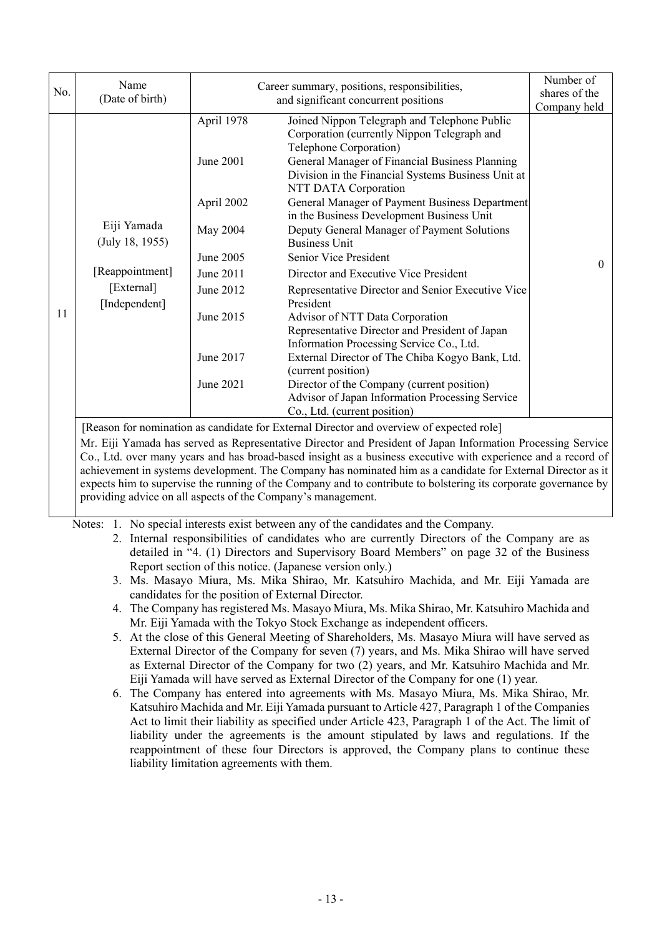| No. | Name<br>(Date of birth)                                                          |                                                                                                                                 | Career summary, positions, responsibilities,<br>and significant concurrent positions                                                                                                                                                                                                                                                                                                                                                                                                                                                                                                                                                                                                                                                                                                                                                                                                                       | Number of<br>shares of the<br>Company held |
|-----|----------------------------------------------------------------------------------|---------------------------------------------------------------------------------------------------------------------------------|------------------------------------------------------------------------------------------------------------------------------------------------------------------------------------------------------------------------------------------------------------------------------------------------------------------------------------------------------------------------------------------------------------------------------------------------------------------------------------------------------------------------------------------------------------------------------------------------------------------------------------------------------------------------------------------------------------------------------------------------------------------------------------------------------------------------------------------------------------------------------------------------------------|--------------------------------------------|
| 11  | Eiji Yamada<br>(July 18, 1955)<br>[Reappointment]<br>[External]<br>[Independent] | April 1978<br>June 2001<br>April 2002<br>May 2004<br>June 2005<br>June 2011<br>June 2012<br>June 2015<br>June 2017<br>June 2021 | Joined Nippon Telegraph and Telephone Public<br>Corporation (currently Nippon Telegraph and<br>Telephone Corporation)<br>General Manager of Financial Business Planning<br>Division in the Financial Systems Business Unit at<br>NTT DATA Corporation<br>General Manager of Payment Business Department<br>in the Business Development Business Unit<br>Deputy General Manager of Payment Solutions<br><b>Business Unit</b><br>Senior Vice President<br>Director and Executive Vice President<br>Representative Director and Senior Executive Vice<br>President<br>Advisor of NTT Data Corporation<br>Representative Director and President of Japan<br>Information Processing Service Co., Ltd.<br>External Director of The Chiba Kogyo Bank, Ltd.<br>(current position)<br>Director of the Company (current position)<br>Advisor of Japan Information Processing Service<br>Co., Ltd. (current position) | $\mathbf{0}$                               |
|     |                                                                                  |                                                                                                                                 | [Reason for nomination as candidate for External Director and overview of expected role]                                                                                                                                                                                                                                                                                                                                                                                                                                                                                                                                                                                                                                                                                                                                                                                                                   |                                            |

Mr. Eiji Yamada has served as Representative Director and President of Japan Information Processing Service Co., Ltd. over many years and has broad-based insight as a business executive with experience and a record of achievement in systems development. The Company has nominated him as a candidate for External Director as it expects him to supervise the running of the Company and to contribute to bolstering its corporate governance by providing advice on all aspects of the Company's management.

Notes: 1. No special interests exist between any of the candidates and the Company.

- 2. Internal responsibilities of candidates who are currently Directors of the Company are as detailed in "4. (1) Directors and Supervisory Board Members" on page 32 of the Business Report section of this notice. (Japanese version only.)
- 3. Ms. Masayo Miura, Ms. Mika Shirao, Mr. Katsuhiro Machida, and Mr. Eiji Yamada are candidates for the position of External Director.
- 4. The Company has registered Ms. Masayo Miura, Ms. Mika Shirao, Mr. Katsuhiro Machida and Mr. Eiji Yamada with the Tokyo Stock Exchange as independent officers.
- 5. At the close of this General Meeting of Shareholders, Ms. Masayo Miura will have served as External Director of the Company for seven (7) years, and Ms. Mika Shirao will have served as External Director of the Company for two (2) years, and Mr. Katsuhiro Machida and Mr. Eiji Yamada will have served as External Director of the Company for one (1) year.
- 6. The Company has entered into agreements with Ms. Masayo Miura, Ms. Mika Shirao, Mr. Katsuhiro Machida and Mr. Eiji Yamada pursuant to Article 427, Paragraph 1 of the Companies Act to limit their liability as specified under Article 423, Paragraph 1 of the Act. The limit of liability under the agreements is the amount stipulated by laws and regulations. If the reappointment of these four Directors is approved, the Company plans to continue these liability limitation agreements with them.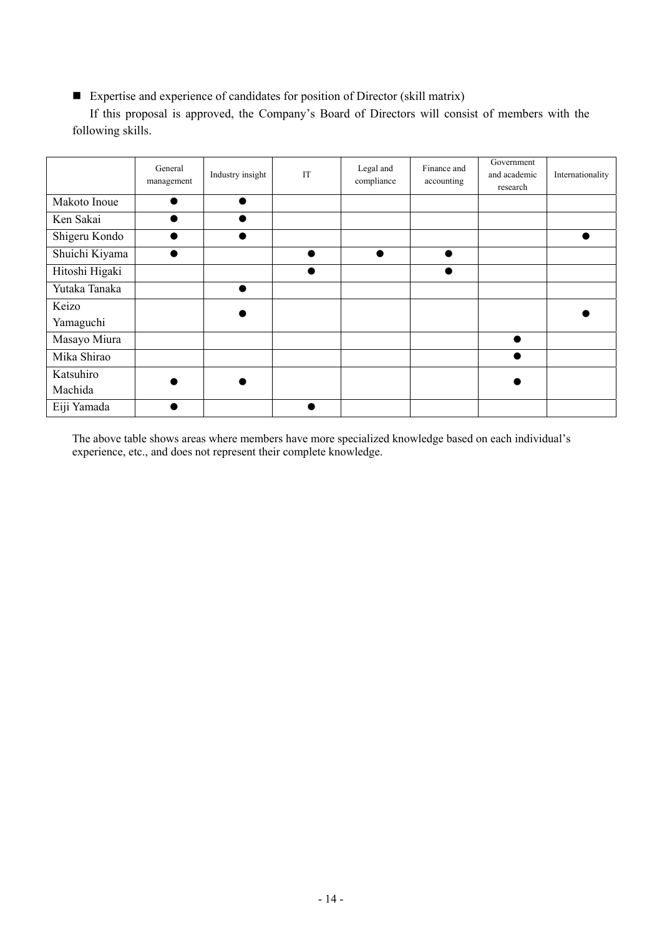Expertise and experience of candidates for position of Director (skill matrix)

 If this proposal is approved, the Company's Board of Directors will consist of members with the following skills.

|                | General<br>management | Industry insight | IT | Legal and<br>compliance | Finance and<br>accounting | Government<br>and academic<br>research | Internationality |
|----------------|-----------------------|------------------|----|-------------------------|---------------------------|----------------------------------------|------------------|
| Makoto Inoue   |                       |                  |    |                         |                           |                                        |                  |
| Ken Sakai      |                       |                  |    |                         |                           |                                        |                  |
| Shigeru Kondo  |                       |                  |    |                         |                           |                                        |                  |
| Shuichi Kiyama |                       |                  |    |                         |                           |                                        |                  |
| Hitoshi Higaki |                       |                  |    |                         |                           |                                        |                  |
| Yutaka Tanaka  |                       |                  |    |                         |                           |                                        |                  |
| Keizo          |                       |                  |    |                         |                           |                                        |                  |
| Yamaguchi      |                       |                  |    |                         |                           |                                        |                  |
| Masayo Miura   |                       |                  |    |                         |                           |                                        |                  |
| Mika Shirao    |                       |                  |    |                         |                           |                                        |                  |
| Katsuhiro      |                       |                  |    |                         |                           |                                        |                  |
| Machida        |                       |                  |    |                         |                           |                                        |                  |
| Eiji Yamada    |                       |                  |    |                         |                           |                                        |                  |

The above table shows areas where members have more specialized knowledge based on each individual's experience, etc., and does not represent their complete knowledge.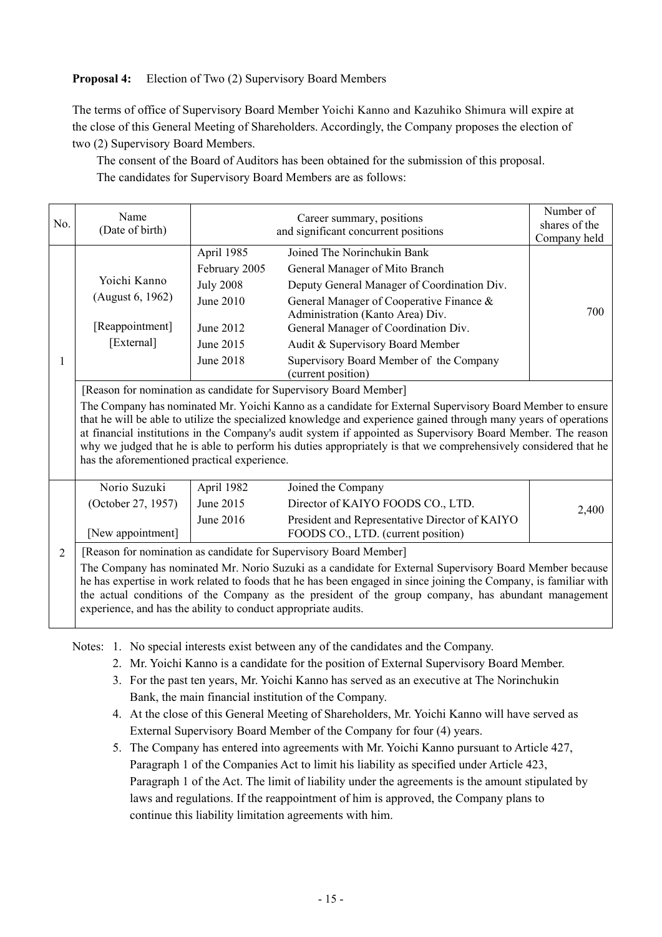# **Proposal 4:** Election of Two (2) Supervisory Board Members

The terms of office of Supervisory Board Member Yoichi Kanno and Kazuhiko Shimura will expire at the close of this General Meeting of Shareholders. Accordingly, the Company proposes the election of two (2) Supervisory Board Members.

The consent of the Board of Auditors has been obtained for the submission of this proposal. The candidates for Supervisory Board Members are as follows:

| No.            | Name<br>(Date of birth)                                                                                                                                                                                                                                                                                                                                                                                                                                                                                                                                                               |                                                                                                                                                                                                                                                                                                                                                                                                                                                         | Number of<br>shares of the<br>Company held                                                                                                      |       |  |  |  |  |  |
|----------------|---------------------------------------------------------------------------------------------------------------------------------------------------------------------------------------------------------------------------------------------------------------------------------------------------------------------------------------------------------------------------------------------------------------------------------------------------------------------------------------------------------------------------------------------------------------------------------------|---------------------------------------------------------------------------------------------------------------------------------------------------------------------------------------------------------------------------------------------------------------------------------------------------------------------------------------------------------------------------------------------------------------------------------------------------------|-------------------------------------------------------------------------------------------------------------------------------------------------|-------|--|--|--|--|--|
| 1              | Yoichi Kanno<br>(August 6, 1962)<br>[Reappointment]<br>[External]                                                                                                                                                                                                                                                                                                                                                                                                                                                                                                                     | Joined The Norinchukin Bank<br>April 1985<br>February 2005<br>General Manager of Mito Branch<br><b>July 2008</b><br>Deputy General Manager of Coordination Div.<br>June 2010<br>General Manager of Cooperative Finance &<br>700<br>Administration (Kanto Area) Div.<br>June 2012<br>General Manager of Coordination Div.<br>June 2015<br>Audit & Supervisory Board Member<br>June 2018<br>Supervisory Board Member of the Company<br>(current position) |                                                                                                                                                 |       |  |  |  |  |  |
|                | [Reason for nomination as candidate for Supervisory Board Member]<br>The Company has nominated Mr. Yoichi Kanno as a candidate for External Supervisory Board Member to ensure<br>that he will be able to utilize the specialized knowledge and experience gained through many years of operations<br>at financial institutions in the Company's audit system if appointed as Supervisory Board Member. The reason<br>why we judged that he is able to perform his duties appropriately is that we comprehensively considered that he<br>has the aforementioned practical experience. |                                                                                                                                                                                                                                                                                                                                                                                                                                                         |                                                                                                                                                 |       |  |  |  |  |  |
|                | Norio Suzuki<br>(October 27, 1957)<br>[New appointment]                                                                                                                                                                                                                                                                                                                                                                                                                                                                                                                               | April 1982<br>June 2015<br>June 2016                                                                                                                                                                                                                                                                                                                                                                                                                    | Joined the Company<br>Director of KAIYO FOODS CO., LTD.<br>President and Representative Director of KAIYO<br>FOODS CO., LTD. (current position) | 2,400 |  |  |  |  |  |
| $\overline{2}$ | [Reason for nomination as candidate for Supervisory Board Member]<br>The Company has nominated Mr. Norio Suzuki as a candidate for External Supervisory Board Member because<br>he has expertise in work related to foods that he has been engaged in since joining the Company, is familiar with<br>the actual conditions of the Company as the president of the group company, has abundant management<br>experience, and has the ability to conduct appropriate audits.                                                                                                            |                                                                                                                                                                                                                                                                                                                                                                                                                                                         |                                                                                                                                                 |       |  |  |  |  |  |

Notes: 1. No special interests exist between any of the candidates and the Company.

- 2. Mr. Yoichi Kanno is a candidate for the position of External Supervisory Board Member.
- 3. For the past ten years, Mr. Yoichi Kanno has served as an executive at The Norinchukin Bank, the main financial institution of the Company.
- 4. At the close of this General Meeting of Shareholders, Mr. Yoichi Kanno will have served as External Supervisory Board Member of the Company for four (4) years.
- 5. The Company has entered into agreements with Mr. Yoichi Kanno pursuant to Article 427, Paragraph 1 of the Companies Act to limit his liability as specified under Article 423, Paragraph 1 of the Act. The limit of liability under the agreements is the amount stipulated by laws and regulations. If the reappointment of him is approved, the Company plans to continue this liability limitation agreements with him.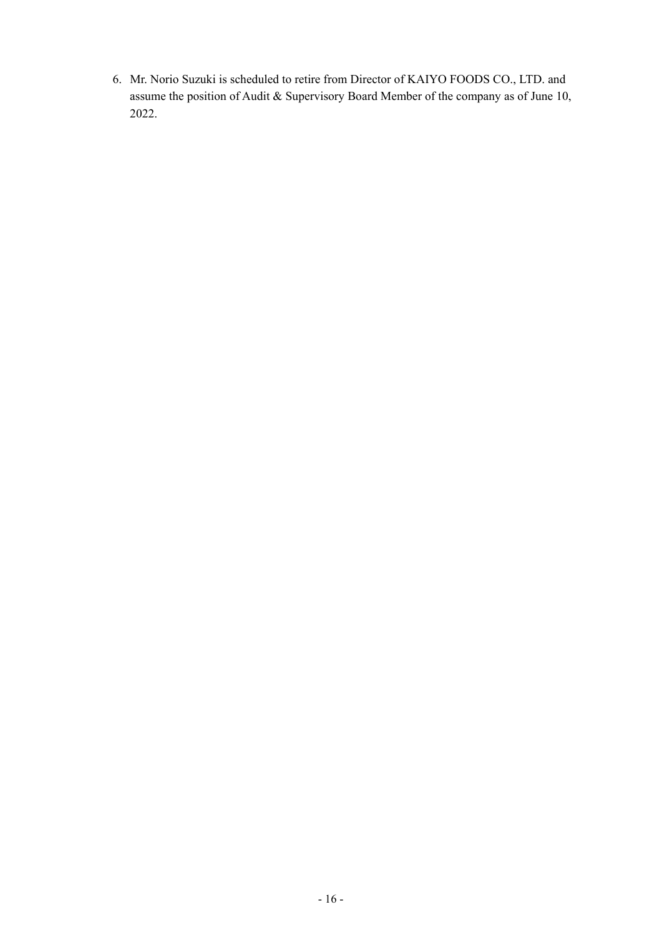6. Mr. Norio Suzuki is scheduled to retire from Director of KAIYO FOODS CO., LTD. and assume the position of Audit & Supervisory Board Member of the company as of June 10, 2022.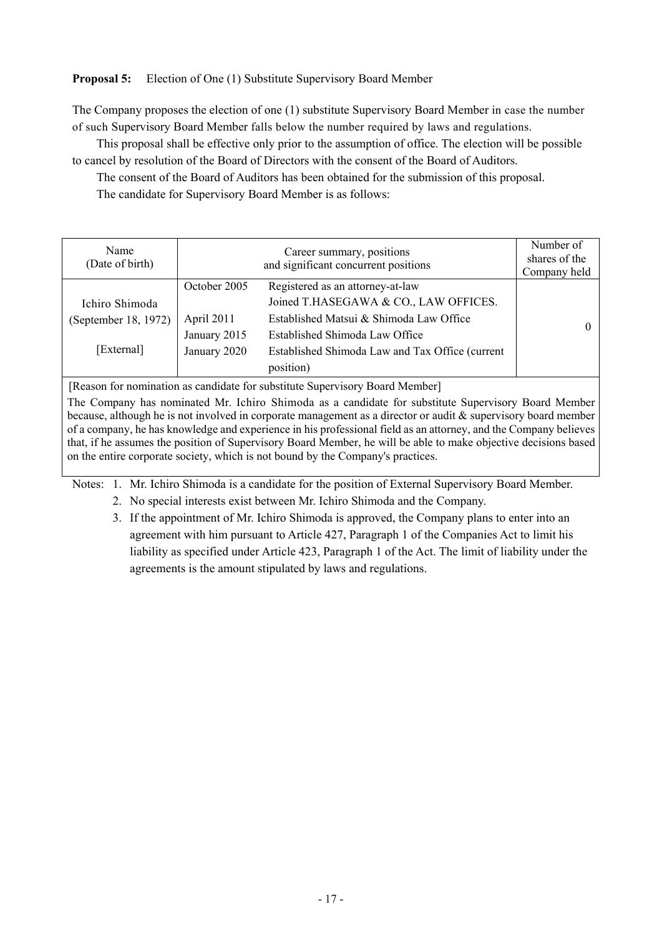## **Proposal 5:** Election of One (1) Substitute Supervisory Board Member

The Company proposes the election of one (1) substitute Supervisory Board Member in case the number of such Supervisory Board Member falls below the number required by laws and regulations.

This proposal shall be effective only prior to the assumption of office. The election will be possible to cancel by resolution of the Board of Directors with the consent of the Board of Auditors.

The consent of the Board of Auditors has been obtained for the submission of this proposal.

The candidate for Supervisory Board Member is as follows:

| Name<br>(Date of birth)                              | Career summary, positions<br>and significant concurrent positions |                                                                                                                                                                                                                        | Number of<br>shares of the<br>Company held |
|------------------------------------------------------|-------------------------------------------------------------------|------------------------------------------------------------------------------------------------------------------------------------------------------------------------------------------------------------------------|--------------------------------------------|
| Ichiro Shimoda<br>(September 18, 1972)<br>[External] | October 2005<br>April 2011<br>January 2015<br>January 2020        | Registered as an attorney-at-law<br>Joined T.HASEGAWA & CO., LAW OFFICES.<br>Established Matsui & Shimoda Law Office<br>Established Shimoda Law Office<br>Established Shimoda Law and Tax Office (current<br>position) |                                            |

[Reason for nomination as candidate for substitute Supervisory Board Member]

The Company has nominated Mr. Ichiro Shimoda as a candidate for substitute Supervisory Board Member because, although he is not involved in corporate management as a director or audit & supervisory board member of a company, he has knowledge and experience in his professional field as an attorney, and the Company believes that, if he assumes the position of Supervisory Board Member, he will be able to make objective decisions based on the entire corporate society, which is not bound by the Company's practices.

Notes: 1. Mr. Ichiro Shimoda is a candidate for the position of External Supervisory Board Member.

2. No special interests exist between Mr. Ichiro Shimoda and the Company.

 3. If the appointment of Mr. Ichiro Shimoda is approved, the Company plans to enter into an agreement with him pursuant to Article 427, Paragraph 1 of the Companies Act to limit his liability as specified under Article 423, Paragraph 1 of the Act. The limit of liability under the agreements is the amount stipulated by laws and regulations.